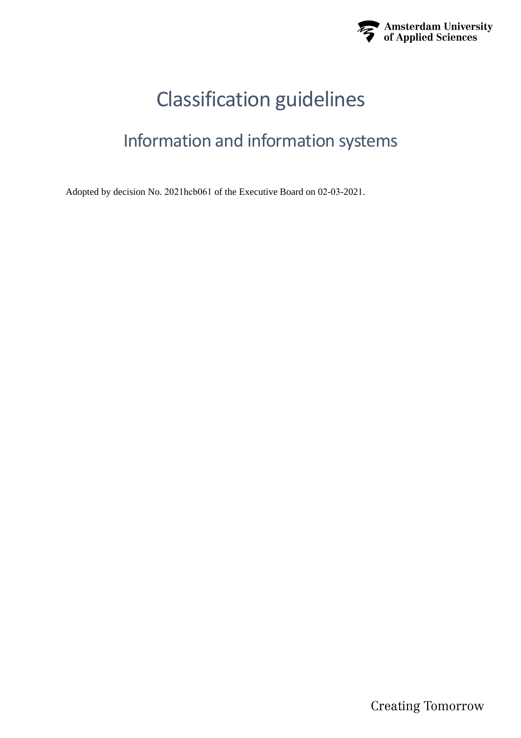

# Classification guidelines

## Information and information systems

Adopted by decision No. 2021hcb061 of the Executive Board on 02-03-2021.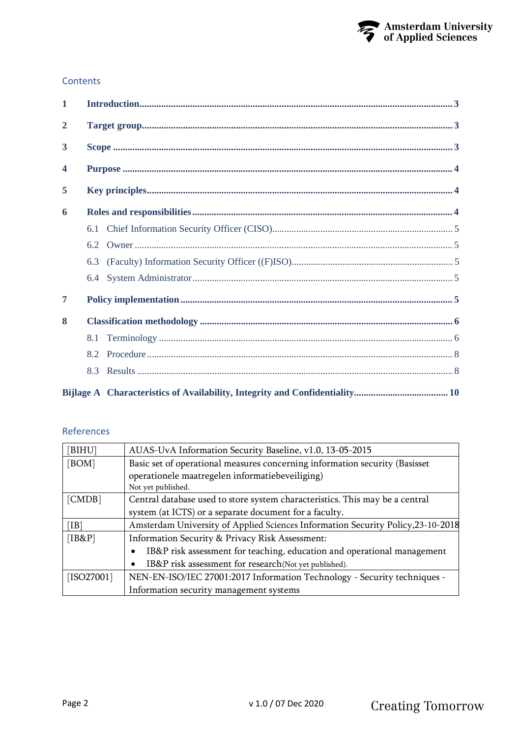

#### **Contents**

| $\mathbf{1}$            |     |  |  |  |
|-------------------------|-----|--|--|--|
| $\mathbf{2}$            |     |  |  |  |
| $\overline{\mathbf{3}}$ |     |  |  |  |
| $\overline{\mathbf{4}}$ |     |  |  |  |
| 5                       |     |  |  |  |
| 6                       |     |  |  |  |
|                         | 6.1 |  |  |  |
|                         | 6.2 |  |  |  |
|                         | 6.3 |  |  |  |
|                         | 6.4 |  |  |  |
| 7                       |     |  |  |  |
| 8                       |     |  |  |  |
|                         | 8.1 |  |  |  |
|                         | 8.2 |  |  |  |
|                         | 8.3 |  |  |  |
|                         |     |  |  |  |

#### References

| [BIHU]       | AUAS-UvA Information Security Baseline, v1.0, 13-05-2015                         |  |  |
|--------------|----------------------------------------------------------------------------------|--|--|
| [ROM]        | Basic set of operational measures concerning information security (Basisset      |  |  |
|              | operationele maatregelen informatiebeveiliging)                                  |  |  |
|              | Not yet published.                                                               |  |  |
| [CMDB]       | Central database used to store system characteristics. This may be a central     |  |  |
|              | system (at ICTS) or a separate document for a faculty.                           |  |  |
| [IB]         | Amsterdam University of Applied Sciences Information Security Policy, 23-10-2018 |  |  |
| [IB&P]       | Information Security & Privacy Risk Assessment:                                  |  |  |
|              | IB&P risk assessment for teaching, education and operational management          |  |  |
|              | IB&P risk assessment for research(Not yet published).                            |  |  |
| $[ISO27001]$ | NEN-EN-ISO/IEC 27001:2017 Information Technology - Security techniques -         |  |  |
|              | Information security management systems                                          |  |  |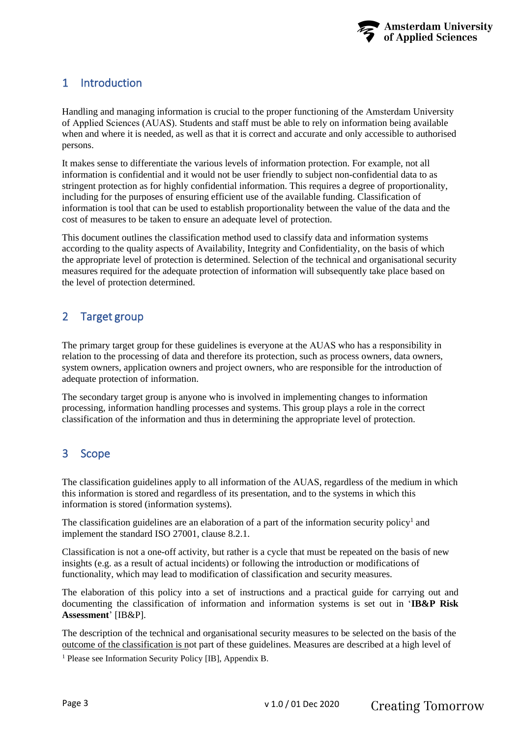

## <span id="page-2-3"></span><span id="page-2-0"></span>1 Introduction

Handling and managing information is crucial to the proper functioning of the Amsterdam University of Applied Sciences (AUAS). Students and staff must be able to rely on information being available when and where it is needed, as well as that it is correct and accurate and only accessible to authorised persons.

It makes sense to differentiate the various levels of information protection. For example, not all information is confidential and it would not be user friendly to subject non-confidential data to as stringent protection as for highly confidential information. This requires a degree of proportionality, including for the purposes of ensuring efficient use of the available funding. Classification of information is tool that can be used to establish proportionality between the value of the data and the cost of measures to be taken to ensure an adequate level of protection.

This document outlines the classification method used to classify data and information systems according to the quality aspects of Availability, Integrity and Confidentiality, on the basis of which the appropriate level of protection is determined. Selection of the technical and organisational security measures required for the adequate protection of information will subsequently take place based on the level of protection determined.

## <span id="page-2-1"></span>2 Target group

The primary target group for these guidelines is everyone at the AUAS who has a responsibility in relation to the processing of data and therefore its protection, such as process owners, data owners, system owners, application owners and project owners, who are responsible for the introduction of adequate protection of information.

The secondary target group is anyone who is involved in implementing changes to information processing, information handling processes and systems. This group plays a role in the correct classification of the information and thus in determining the appropriate level of protection.

## <span id="page-2-2"></span>3 Scope

The classification guidelines apply to all information of the AUAS, regardless of the medium in which this information is stored and regardless of its presentation, and to the systems in which this information is stored (information systems).

The classification guidelines are an elaboration of a part of the information security policy<sup>1</sup> and implement the standard ISO 27001, clause 8.2.1.

Classification is not a one-off activity, but rather is a cycle that must be repeated on the basis of new insights (e.g. as a result of actual incidents) or following the introduction or modifications of functionality, which may lead to modification of classification and security measures.

The elaboration of this policy into a set of instructions and a practical guide for carrying out and documenting the classification of information and information systems is set out in '**IB&P Risk Assessment**' [IB&P].

The description of the technical and organisational security measures to be selected on the basis of the outcome of the classification is not part of these guidelines. Measures are described at a high level of

<sup>1</sup> Please see Information Security Policy [IB], Appendix B.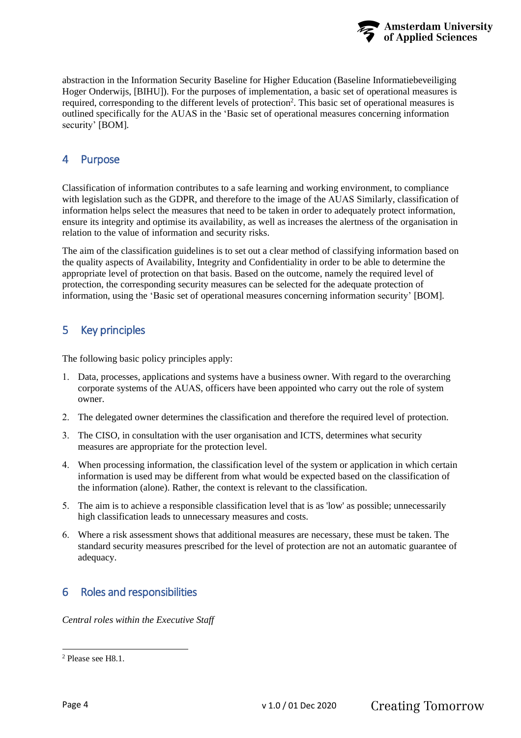

<span id="page-3-3"></span>abstraction in the Information Security Baseline for Higher Education (Baseline Informatiebeveiliging Hoger Onderwijs, [BIHU]). For the purposes of implementation, a basic set of operational measures is required, corresponding to the different levels of protection<sup>2</sup>. This basic set of operational measures is outlined specifically for the AUAS in the 'Basic set of operational measures concerning information security' [BOM].

## <span id="page-3-0"></span>4 Purpose

Classification of information contributes to a safe learning and working environment, to compliance with legislation such as the GDPR, and therefore to the image of the AUAS Similarly, classification of information helps select the measures that need to be taken in order to adequately protect information, ensure its integrity and optimise its availability, as well as increases the alertness of the organisation in relation to the value of information and security risks.

The aim of the classification guidelines is to set out a clear method of classifying information based on the quality aspects of Availability, Integrity and Confidentiality in order to be able to determine the appropriate level of protection on that basis. Based on the outcome, namely the required level of protection, the corresponding security measures can be selected for the adequate protection of information, using the 'Basic set of operational measures concerning information security' [BOM].

## <span id="page-3-1"></span>5 Key principles

The following basic policy principles apply:

- <span id="page-3-4"></span>1. Data, processes, applications and systems have a business owner. With regard to the overarching corporate systems of the AUAS, officers have been appointed who carry out the role of system owner.
- 2. The delegated owner determines the classification and therefore the required level of protection.
- 3. The CISO, in consultation with the user organisation and ICTS, determines what security measures are appropriate for the protection level.
- 4. When processing information, the classification level of the system or application in which certain information is used may be different from what would be expected based on the classification of the information (alone). Rather, the context is relevant to the classification.
- 5. The aim is to achieve a responsible classification level that is as 'low' as possible; unnecessarily high classification leads to unnecessary measures and costs.
- 6. Where a risk assessment shows that additional measures are necessary, these must be taken. The standard security measures prescribed for the level of protection are not an automatic guarantee of adequacy.

## <span id="page-3-2"></span>6 Roles and responsibilities

*Central roles within the Executive Staff*

<sup>2</sup> Please see [H8.1.](#page-5-1)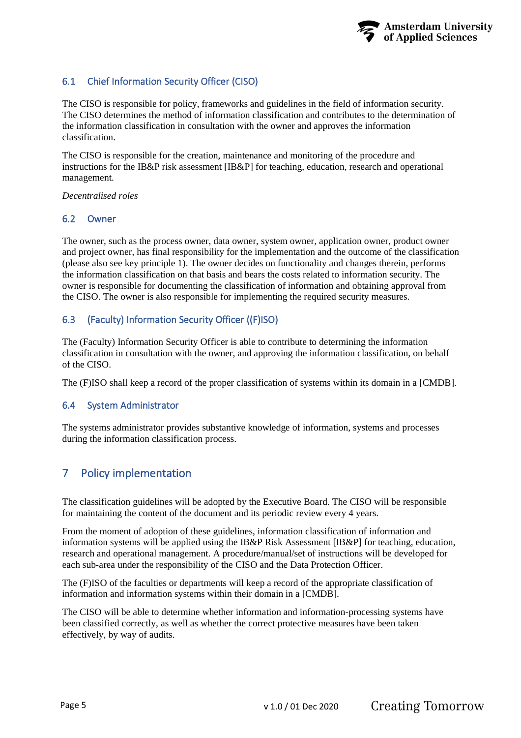#### <span id="page-4-5"></span><span id="page-4-0"></span>6.1 Chief Information Security Officer (CISO)

The CISO is responsible for policy, frameworks and guidelines in the field of information security. The CISO determines the method of information classification and contributes to the determination of the information classification in consultation with the owner and approves the information classification.

The CISO is responsible for the creation, maintenance and monitoring of the procedure and instructions for the IB&P risk assessment [IB&P] for teaching, education, research and operational management.

#### *Decentralised roles*

#### <span id="page-4-1"></span>6.2 Owner

The owner, such as the process owner, data owner, system owner, application owner, product owner and project owner, has final responsibility for the implementation and the outcome of the classification (please also see key principle [1\)](#page-3-4). The owner decides on functionality and changes therein, performs the information classification on that basis and bears the costs related to information security. The owner is responsible for documenting the classification of information and obtaining approval from the CISO. The owner is also responsible for implementing the required security measures.

#### <span id="page-4-2"></span>6.3 (Faculty) Information Security Officer ((F)ISO)

The (Faculty) Information Security Officer is able to contribute to determining the information classification in consultation with the owner, and approving the information classification, on behalf of the CISO.

The (F)ISO shall keep a record of the proper classification of systems within its domain in a [CMDB].

#### <span id="page-4-3"></span>6.4 System Administrator

The systems administrator provides substantive knowledge of information, systems and processes during the information classification process.

### <span id="page-4-4"></span>7 Policy implementation

The classification guidelines will be adopted by the Executive Board. The CISO will be responsible for maintaining the content of the document and its periodic review every 4 years.

From the moment of adoption of these guidelines, information classification of information and information systems will be applied using the IB&P Risk Assessment [IB&P] for teaching, education, research and operational management. A procedure/manual/set of instructions will be developed for each sub-area under the responsibility of the CISO and the Data Protection Officer.

The (F)ISO of the faculties or departments will keep a record of the appropriate classification of information and information systems within their domain in a [CMDB].

The CISO will be able to determine whether information and information-processing systems have been classified correctly, as well as whether the correct protective measures have been taken effectively, by way of audits.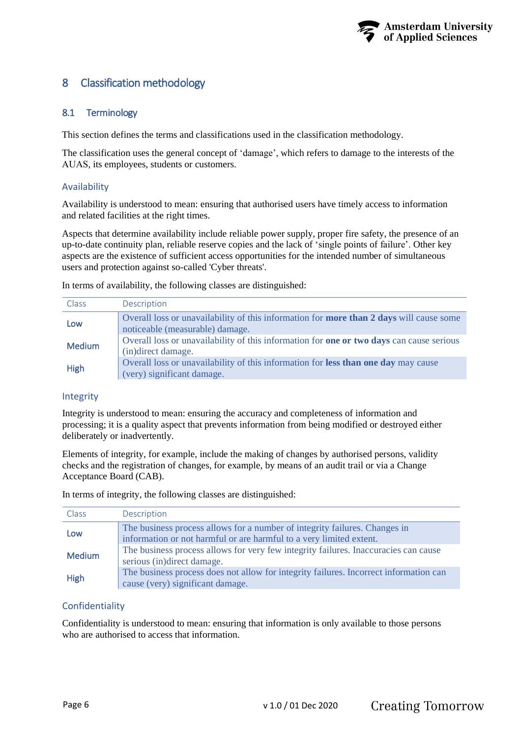

## <span id="page-5-2"></span><span id="page-5-0"></span>8 Classification methodology

#### <span id="page-5-1"></span>8.1 Terminology

This section defines the terms and classifications used in the classification methodology.

The classification uses the general concept of 'damage', which refers to damage to the interests of the AUAS, its employees, students or customers.

#### Availability

Availability is understood to mean: ensuring that authorised users have timely access to information and related facilities at the right times.

Aspects that determine availability include reliable power supply, proper fire safety, the presence of an up-to-date continuity plan, reliable reserve copies and the lack of 'single points of failure'. Other key aspects are the existence of sufficient access opportunities for the intended number of simultaneous users and protection against so-called 'Cyber threats'.

In terms of availability, the following classes are distinguished:

| Class         | Description                                                                                                                       |  |
|---------------|-----------------------------------------------------------------------------------------------------------------------------------|--|
| Low           | Overall loss or unavailability of this information for <b>more than 2 days</b> will cause some<br>noticeable (measurable) damage. |  |
| <b>Medium</b> | Overall loss or unavailability of this information for <b>one or two days</b> can cause serious<br>(in) direct damage.            |  |
| <b>High</b>   | Overall loss or unavailability of this information for less than one day may cause<br>(very) significant damage.                  |  |

#### Integrity

Integrity is understood to mean: ensuring the accuracy and completeness of information and processing; it is a quality aspect that prevents information from being modified or destroyed either deliberately or inadvertently.

Elements of integrity, for example, include the making of changes by authorised persons, validity checks and the registration of changes, for example, by means of an audit trail or via a Change Acceptance Board (CAB).

In terms of integrity, the following classes are distinguished:

| Class         | Description                                                                                                                                                                                                                                                            |  |
|---------------|------------------------------------------------------------------------------------------------------------------------------------------------------------------------------------------------------------------------------------------------------------------------|--|
| Low           | The business process allows for a number of integrity failures. Changes in<br>information or not harmful or are harmful to a very limited extent.<br>The business process allows for very few integrity failures. Inaccuracies can cause<br>serious (in)direct damage. |  |
| <b>Medium</b> |                                                                                                                                                                                                                                                                        |  |
| <b>High</b>   | The business process does not allow for integrity failures. Incorrect information can<br>cause (very) significant damage.                                                                                                                                              |  |

#### Confidentiality

Confidentiality is understood to mean: ensuring that information is only available to those persons who are authorised to access that information.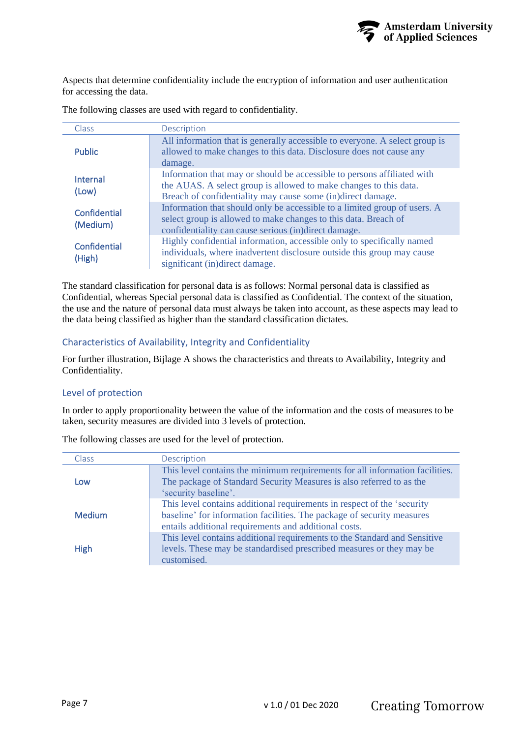

Aspects that determine confidentiality include the encryption of information and user authentication for accessing the data.

| Class                    | Description                                                                                                                                                                                                 |
|--------------------------|-------------------------------------------------------------------------------------------------------------------------------------------------------------------------------------------------------------|
| <b>Public</b>            | All information that is generally accessible to everyone. A select group is<br>allowed to make changes to this data. Disclosure does not cause any<br>damage.                                               |
| Internal<br>(Low)        | Information that may or should be accessible to persons affiliated with<br>the AUAS. A select group is allowed to make changes to this data.<br>Breach of confidentiality may cause some (in)direct damage. |
| Confidential<br>(Medium) | Information that should only be accessible to a limited group of users. A<br>select group is allowed to make changes to this data. Breach of<br>confidentiality can cause serious (in)direct damage.        |
| Confidential<br>(High)   | Highly confidential information, accessible only to specifically named<br>individuals, where inadvertent disclosure outside this group may cause<br>significant (in)direct damage.                          |

The following classes are used with regard to confidentiality.

The standard classification for personal data is as follows: Normal personal data is classified as Confidential, whereas Special personal data is classified as Confidential. The context of the situation, the use and the nature of personal data must always be taken into account, as these aspects may lead to the data being classified as higher than the standard classification dictates.

#### Characteristics of Availability, Integrity and Confidentiality

For further illustration, [Bijlage](#page-9-0) [A](#page-9-0) shows the characteristics and threats to Availability, Integrity and Confidentiality.

#### Level of protection

In order to apply proportionality between the value of the information and the costs of measures to be taken, security measures are divided into 3 levels of protection.

| <b>Class</b>  | Description                                                                                                                                          |
|---------------|------------------------------------------------------------------------------------------------------------------------------------------------------|
| Low           | This level contains the minimum requirements for all information facilities.<br>The package of Standard Security Measures is also referred to as the |
|               | 'security baseline'.                                                                                                                                 |
|               | This level contains additional requirements in respect of the 'security                                                                              |
| <b>Medium</b> | baseline' for information facilities. The package of security measures                                                                               |
|               | entails additional requirements and additional costs.                                                                                                |
|               | This level contains additional requirements to the Standard and Sensitive                                                                            |
| <b>High</b>   | levels. These may be standardised prescribed measures or they may be                                                                                 |
|               | customised.                                                                                                                                          |

The following classes are used for the level of protection.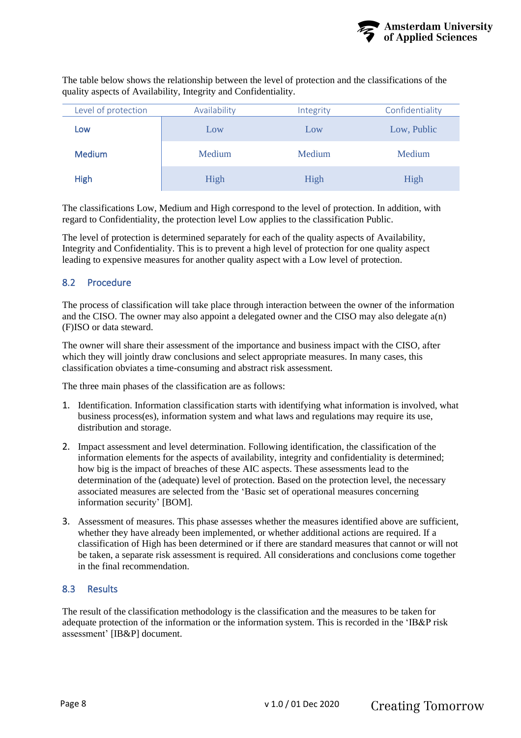

<span id="page-7-2"></span>The table below shows the relationship between the level of protection and the classifications of the quality aspects of Availability, Integrity and Confidentiality.

| Level of protection | Availability | Integrity | Confidentiality |
|---------------------|--------------|-----------|-----------------|
| Low                 | Low          | Low       | Low, Public     |
| <b>Medium</b>       | Medium       | Medium    | Medium          |
| <b>High</b>         | High         | High      | High            |

The classifications Low, Medium and High correspond to the level of protection. In addition, with regard to Confidentiality, the protection level Low applies to the classification Public.

The level of protection is determined separately for each of the quality aspects of Availability, Integrity and Confidentiality. This is to prevent a high level of protection for one quality aspect leading to expensive measures for another quality aspect with a Low level of protection.

#### <span id="page-7-0"></span>8.2 Procedure

The process of classification will take place through interaction between the owner of the information and the CISO. The owner may also appoint a delegated owner and the CISO may also delegate a(n) (F)ISO or data steward.

The owner will share their assessment of the importance and business impact with the CISO, after which they will jointly draw conclusions and select appropriate measures. In many cases, this classification obviates a time-consuming and abstract risk assessment.

The three main phases of the classification are as follows:

- 1. Identification. Information classification starts with identifying what information is involved, what business process(es), information system and what laws and regulations may require its use, distribution and storage.
- 2. Impact assessment and level determination. Following identification, the classification of the information elements for the aspects of availability, integrity and confidentiality is determined; how big is the impact of breaches of these AIC aspects. These assessments lead to the determination of the (adequate) level of protection. Based on the protection level, the necessary associated measures are selected from the 'Basic set of operational measures concerning information security' [BOM].
- 3. Assessment of measures. This phase assesses whether the measures identified above are sufficient, whether they have already been implemented, or whether additional actions are required. If a classification of High has been determined or if there are standard measures that cannot or will not be taken, a separate risk assessment is required. All considerations and conclusions come together in the final recommendation.

#### <span id="page-7-1"></span>8.3 Results

The result of the classification methodology is the classification and the measures to be taken for adequate protection of the information or the information system. This is recorded in the 'IB&P risk assessment' [IB&P] document.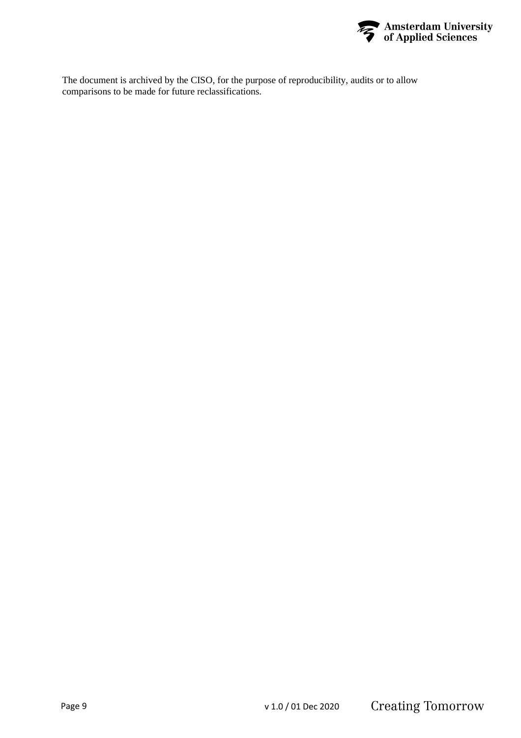

The document is archived by the CISO, for the purpose of reproducibility, audits or to allow comparisons to be made for future reclassifications.